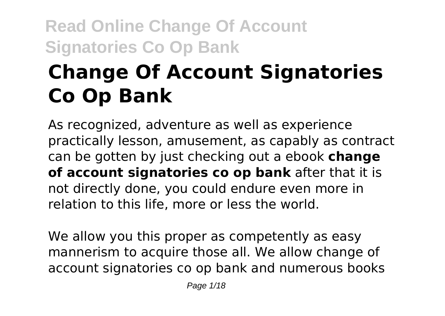# **Change Of Account Signatories Co Op Bank**

As recognized, adventure as well as experience practically lesson, amusement, as capably as contract can be gotten by just checking out a ebook **change of account signatories co op bank** after that it is not directly done, you could endure even more in relation to this life, more or less the world.

We allow you this proper as competently as easy mannerism to acquire those all. We allow change of account signatories co op bank and numerous books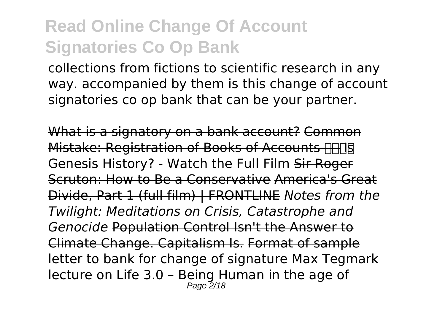collections from fictions to scientific research in any way. accompanied by them is this change of account signatories co op bank that can be your partner.

What is a signatory on a bank account? Common Mistake: Registration of Books of Accounts FIFINE Genesis History? - Watch the Full Film Sir Roger Scruton: How to Be a Conservative America's Great Divide, Part 1 (full film) | FRONTLINE *Notes from the Twilight: Meditations on Crisis, Catastrophe and Genocide* Population Control Isn't the Answer to Climate Change. Capitalism Is. Format of sample letter to bank for change of signature Max Tegmark lecture on Life 3.0 – Being Human in the age of  $P$ age  $\overline{2}/18$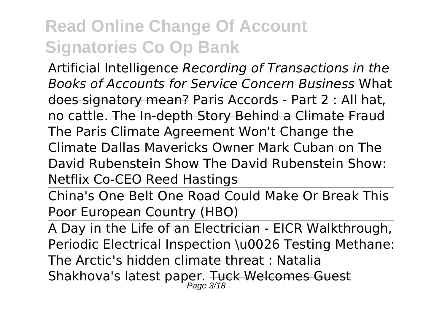Artificial Intelligence *Recording of Transactions in the Books of Accounts for Service Concern Business* What does signatory mean? Paris Accords - Part 2 : All hat, no cattle. The In-depth Story Behind a Climate Fraud The Paris Climate Agreement Won't Change the Climate Dallas Mavericks Owner Mark Cuban on The David Rubenstein Show The David Rubenstein Show: Netflix Co-CEO Reed Hastings

China's One Belt One Road Could Make Or Break This Poor European Country (HBO)

A Day in the Life of an Electrician - EICR Walkthrough, Periodic Electrical Inspection \u0026 Testing Methane: The Arctic's hidden climate threat : Natalia Shakhova's latest paper. <del>Tuck Welcomes Guest</del>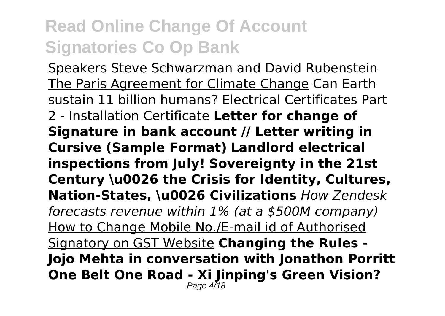Speakers Steve Schwarzman and David Rubenstein The Paris Agreement for Climate Change Can Earth sustain 11 billion humans? Electrical Certificates Part 2 - Installation Certificate **Letter for change of Signature in bank account // Letter writing in Cursive (Sample Format) Landlord electrical inspections from July! Sovereignty in the 21st Century \u0026 the Crisis for Identity, Cultures, Nation-States, \u0026 Civilizations** *How Zendesk forecasts revenue within 1% (at a \$500M company)* How to Change Mobile No./E-mail id of Authorised Signatory on GST Website **Changing the Rules - Jojo Mehta in conversation with Jonathon Porritt One Belt One Road - Xi Jinping's Green Vision?** Page 4<sup>7</sup>18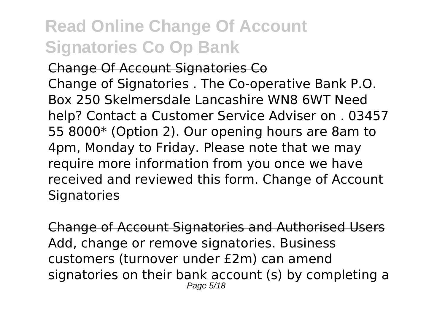Change Of Account Signatories Co Change of Signatories . The Co-operative Bank P.O. Box 250 Skelmersdale Lancashire WN8 6WT Need help? Contact a Customer Service Adviser on . 03457 55 8000\* (Option 2). Our opening hours are 8am to 4pm, Monday to Friday. Please note that we may require more information from you once we have received and reviewed this form. Change of Account **Signatories** 

Change of Account Signatories and Authorised Users Add, change or remove signatories. Business customers (turnover under £2m) can amend signatories on their bank account (s) by completing a Page 5/18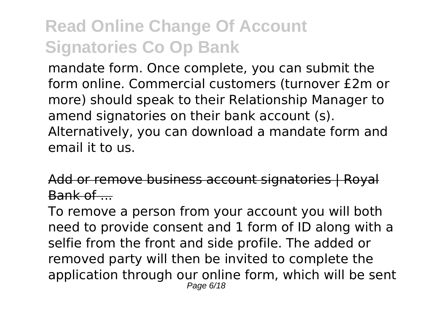mandate form. Once complete, you can submit the form online. Commercial customers (turnover £2m or more) should speak to their Relationship Manager to amend signatories on their bank account (s). Alternatively, you can download a mandate form and email it to us.

Add or remove business account signatories | Royal Bank of .......

To remove a person from your account you will both need to provide consent and 1 form of ID along with a selfie from the front and side profile. The added or removed party will then be invited to complete the application through our online form, which will be sent Page 6/18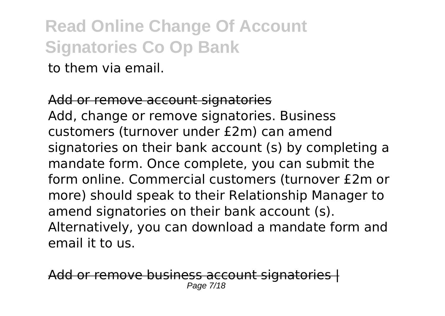to them via email.

Add or remove account signatories Add, change or remove signatories. Business customers (turnover under £2m) can amend signatories on their bank account (s) by completing a mandate form. Once complete, you can submit the form online. Commercial customers (turnover £2m or more) should speak to their Relationship Manager to amend signatories on their bank account (s). Alternatively, you can download a mandate form and email it to us.

or remove business account signato Page 7/18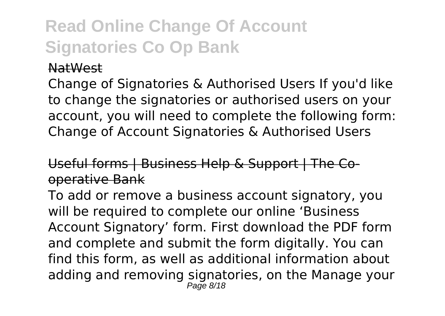#### NatWest

Change of Signatories & Authorised Users If you'd like to change the signatories or authorised users on your account, you will need to complete the following form: Change of Account Signatories & Authorised Users

#### Useful forms | Business Help & Support | The Cooperative Bank

To add or remove a business account signatory, you will be required to complete our online 'Business Account Signatory' form. First download the PDF form and complete and submit the form digitally. You can find this form, as well as additional information about adding and removing signatories, on the Manage your Page 8/18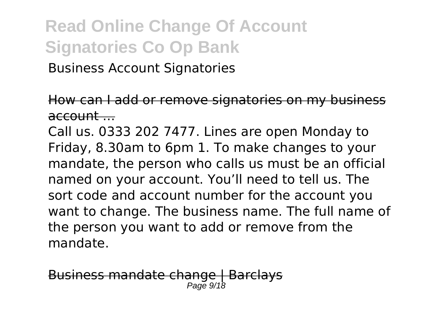Business Account Signatories

How can I add or remove signatories on my business  $\overline{a}$ ccount  $\overline{a}$ 

Call us. 0333 202 7477. Lines are open Monday to Friday, 8.30am to 6pm 1. To make changes to your mandate, the person who calls us must be an official named on your account. You'll need to tell us. The sort code and account number for the account you want to change. The business name. The full name of the person you want to add or remove from the mandate.

iness mandate change | Barclays Page 9/18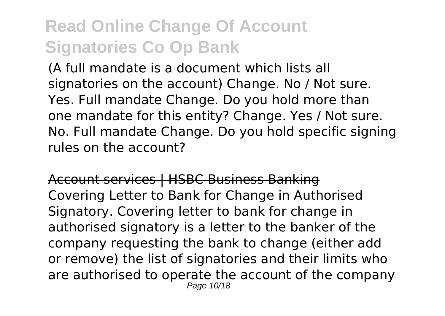(A full mandate is a document which lists all signatories on the account) Change. No / Not sure. Yes. Full mandate Change. Do you hold more than one mandate for this entity? Change. Yes / Not sure. No. Full mandate Change. Do you hold specific signing rules on the account?

Account services | HSBC Business Banking Covering Letter to Bank for Change in Authorised Signatory. Covering letter to bank for change in authorised signatory is a letter to the banker of the company requesting the bank to change (either add or remove) the list of signatories and their limits who are authorised to operate the account of the company Page 10/18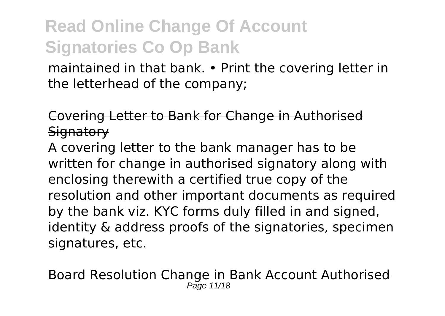maintained in that bank. • Print the covering letter in the letterhead of the company;

Covering Letter to Bank for Change in Authorised **Signatory** 

A covering letter to the bank manager has to be written for change in authorised signatory along with enclosing therewith a certified true copy of the resolution and other important documents as required by the bank viz. KYC forms duly filled in and signed, identity & address proofs of the signatories, specimen signatures, etc.

esolution Change in Bank Account Author Page 11/18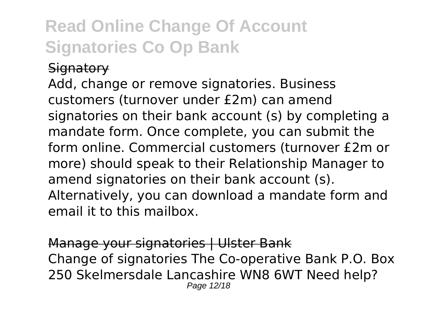#### **Signatory**

Add, change or remove signatories. Business customers (turnover under £2m) can amend signatories on their bank account (s) by completing a mandate form. Once complete, you can submit the form online. Commercial customers (turnover £2m or more) should speak to their Relationship Manager to amend signatories on their bank account (s). Alternatively, you can download a mandate form and email it to this mailbox.

Manage your signatories | Ulster Bank Change of signatories The Co-operative Bank P.O. Box 250 Skelmersdale Lancashire WN8 6WT Need help? Page 12/18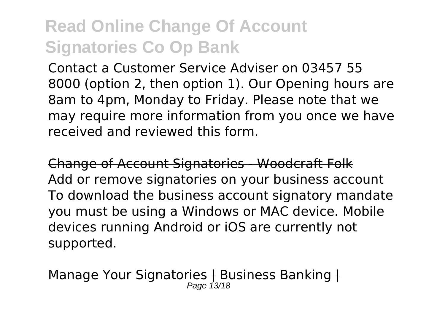Contact a Customer Service Adviser on 03457 55 8000 (option 2, then option 1). Our Opening hours are 8am to 4pm, Monday to Friday. Please note that we may require more information from you once we have received and reviewed this form.

Change of Account Signatories - Woodcraft Folk Add or remove signatories on your business account To download the business account signatory mandate you must be using a Windows or MAC device. Mobile devices running Android or iOS are currently not supported.

age Your Signatories | Business Ban Page 13/18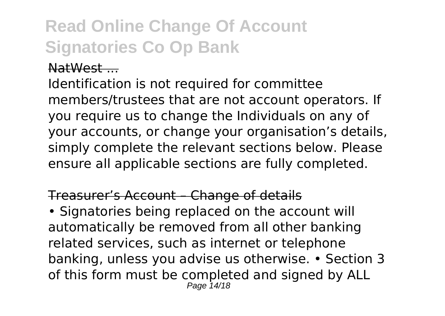#### NatWest ...

Identification is not required for committee members/trustees that are not account operators. If you require us to change the Individuals on any of your accounts, or change your organisation's details, simply complete the relevant sections below. Please ensure all applicable sections are fully completed.

#### Treasurer's Account – Change of details

• Signatories being replaced on the account will automatically be removed from all other banking related services, such as internet or telephone banking, unless you advise us otherwise. • Section 3 of this form must be completed and signed by ALL Page 14/18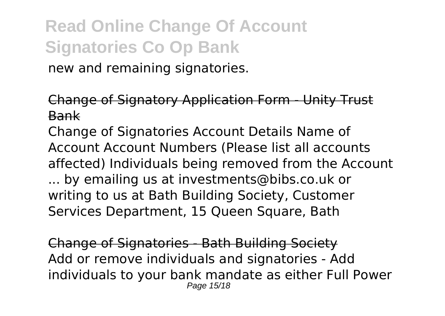new and remaining signatories.

Change of Signatory Application Form - Unity Trust Bank

Change of Signatories Account Details Name of Account Account Numbers (Please list all accounts affected) Individuals being removed from the Account ... by emailing us at investments@bibs.co.uk or writing to us at Bath Building Society, Customer Services Department, 15 Queen Square, Bath

Change of Signatories - Bath Building Society Add or remove individuals and signatories - Add individuals to your bank mandate as either Full Power Page 15/18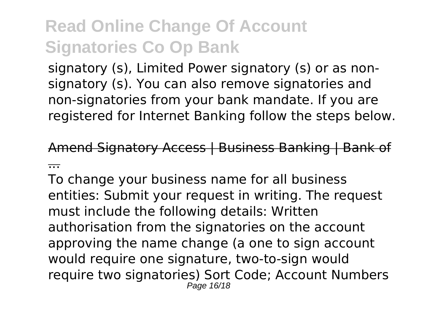signatory (s), Limited Power signatory (s) or as nonsignatory (s). You can also remove signatories and non-signatories from your bank mandate. If you are registered for Internet Banking follow the steps below.

Amend Signatory Access | Business Banking | Ban ...

To change your business name for all business entities: Submit your request in writing. The request must include the following details: Written authorisation from the signatories on the account approving the name change (a one to sign account would require one signature, two-to-sign would require two signatories) Sort Code; Account Numbers Page 16/18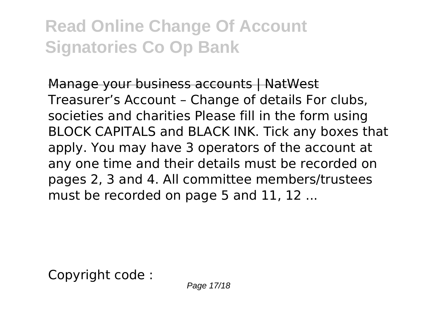Manage your business accounts | NatWest Treasurer's Account – Change of details For clubs, societies and charities Please fill in the form using BLOCK CAPITALS and BLACK INK. Tick any boxes that apply. You may have 3 operators of the account at any one time and their details must be recorded on pages 2, 3 and 4. All committee members/trustees must be recorded on page 5 and 11, 12 ...

Copyright code :